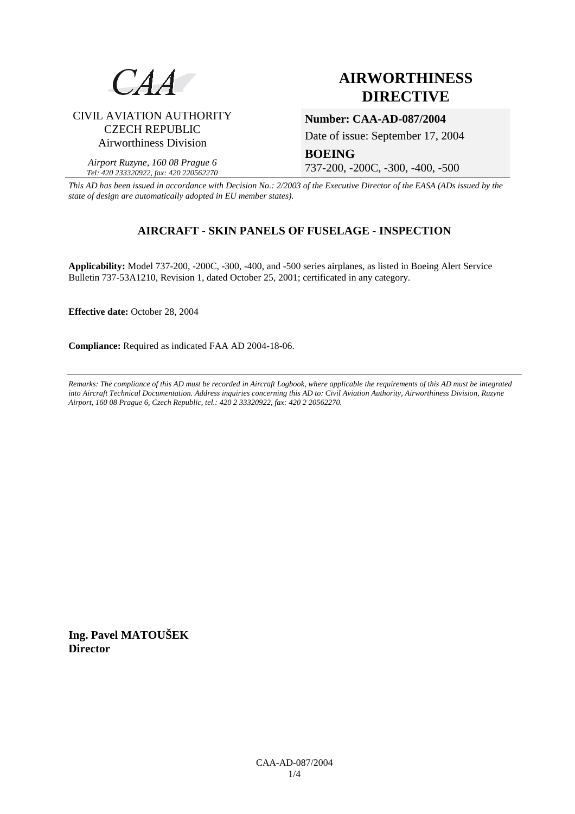

# **AIRWORTHINESS DIRECTIVE**

## CIVIL AVIATION AUTHORITY CZECH REPUBLIC Airworthiness Division

### **Number: CAA-AD-087/2004**

Date of issue: September 17, 2004

*Airport Ruzyne, 160 08 Prague 6 Tel: 420 233320922, fax: 420 220562270*

737-200, -200C, -300, -400, -500

*This AD has been issued in accordance with Decision No.: 2/2003 of the Executive Director of the EASA (ADs issued by the state of design are automatically adopted in EU member states).*

# **AIRCRAFT - SKIN PANELS OF FUSELAGE - INSPECTION**

**BOEING** 

**Applicability:** Model 737-200, -200C, -300, -400, and -500 series airplanes, as listed in Boeing Alert Service Bulletin 737-53A1210, Revision 1, dated October 25, 2001; certificated in any category.

**Effective date:** October 28, 2004

**Compliance:** Required as indicated FAA AD 2004-18-06.

*Remarks: The compliance of this AD must be recorded in Aircraft Logbook, where applicable the requirements of this AD must be integrated into Aircraft Technical Documentation. Address inquiries concerning this AD to: Civil Aviation Authority, Airworthiness Division, Ruzyne Airport, 160 08 Prague 6, Czech Republic, tel.: 420 2 33320922, fax: 420 2 20562270.* 

**Ing. Pavel MATOUŠEK Director**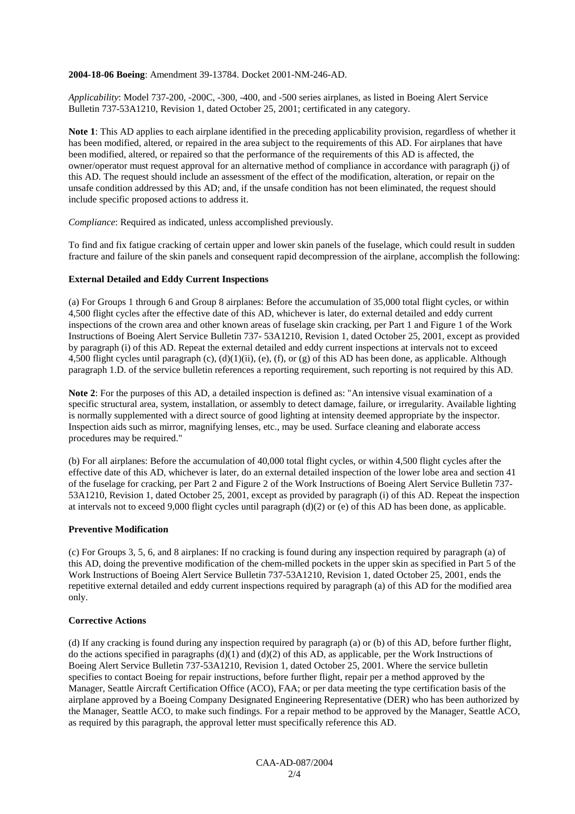#### **2004-18-06 Boeing**: Amendment 39-13784. Docket 2001-NM-246-AD.

*Applicability*: Model 737-200, -200C, -300, -400, and -500 series airplanes, as listed in Boeing Alert Service Bulletin 737-53A1210, Revision 1, dated October 25, 2001; certificated in any category.

**Note 1**: This AD applies to each airplane identified in the preceding applicability provision, regardless of whether it has been modified, altered, or repaired in the area subject to the requirements of this AD. For airplanes that have been modified, altered, or repaired so that the performance of the requirements of this AD is affected, the owner/operator must request approval for an alternative method of compliance in accordance with paragraph (j) of this AD. The request should include an assessment of the effect of the modification, alteration, or repair on the unsafe condition addressed by this AD; and, if the unsafe condition has not been eliminated, the request should include specific proposed actions to address it.

*Compliance*: Required as indicated, unless accomplished previously.

To find and fix fatigue cracking of certain upper and lower skin panels of the fuselage, which could result in sudden fracture and failure of the skin panels and consequent rapid decompression of the airplane, accomplish the following:

#### **External Detailed and Eddy Current Inspections**

(a) For Groups 1 through 6 and Group 8 airplanes: Before the accumulation of 35,000 total flight cycles, or within 4,500 flight cycles after the effective date of this AD, whichever is later, do external detailed and eddy current inspections of the crown area and other known areas of fuselage skin cracking, per Part 1 and Figure 1 of the Work Instructions of Boeing Alert Service Bulletin 737- 53A1210, Revision 1, dated October 25, 2001, except as provided by paragraph (i) of this AD. Repeat the external detailed and eddy current inspections at intervals not to exceed 4,500 flight cycles until paragraph  $(c)$ ,  $(d)(1)(ii)$ ,  $(e)$ ,  $(f)$ , or  $(g)$  of this AD has been done, as applicable. Although paragraph 1.D. of the service bulletin references a reporting requirement, such reporting is not required by this AD.

**Note 2**: For the purposes of this AD, a detailed inspection is defined as: "An intensive visual examination of a specific structural area, system, installation, or assembly to detect damage, failure, or irregularity. Available lighting is normally supplemented with a direct source of good lighting at intensity deemed appropriate by the inspector. Inspection aids such as mirror, magnifying lenses, etc., may be used. Surface cleaning and elaborate access procedures may be required."

(b) For all airplanes: Before the accumulation of 40,000 total flight cycles, or within 4,500 flight cycles after the effective date of this AD, whichever is later, do an external detailed inspection of the lower lobe area and section 41 of the fuselage for cracking, per Part 2 and Figure 2 of the Work Instructions of Boeing Alert Service Bulletin 737- 53A1210, Revision 1, dated October 25, 2001, except as provided by paragraph (i) of this AD. Repeat the inspection at intervals not to exceed 9,000 flight cycles until paragraph (d)(2) or (e) of this AD has been done, as applicable.

#### **Preventive Modification**

(c) For Groups 3, 5, 6, and 8 airplanes: If no cracking is found during any inspection required by paragraph (a) of this AD, doing the preventive modification of the chem-milled pockets in the upper skin as specified in Part 5 of the Work Instructions of Boeing Alert Service Bulletin 737-53A1210, Revision 1, dated October 25, 2001, ends the repetitive external detailed and eddy current inspections required by paragraph (a) of this AD for the modified area only.

#### **Corrective Actions**

(d) If any cracking is found during any inspection required by paragraph (a) or (b) of this AD, before further flight, do the actions specified in paragraphs  $(d)(1)$  and  $(d)(2)$  of this AD, as applicable, per the Work Instructions of Boeing Alert Service Bulletin 737-53A1210, Revision 1, dated October 25, 2001. Where the service bulletin specifies to contact Boeing for repair instructions, before further flight, repair per a method approved by the Manager, Seattle Aircraft Certification Office (ACO), FAA; or per data meeting the type certification basis of the airplane approved by a Boeing Company Designated Engineering Representative (DER) who has been authorized by the Manager, Seattle ACO, to make such findings. For a repair method to be approved by the Manager, Seattle ACO, as required by this paragraph, the approval letter must specifically reference this AD.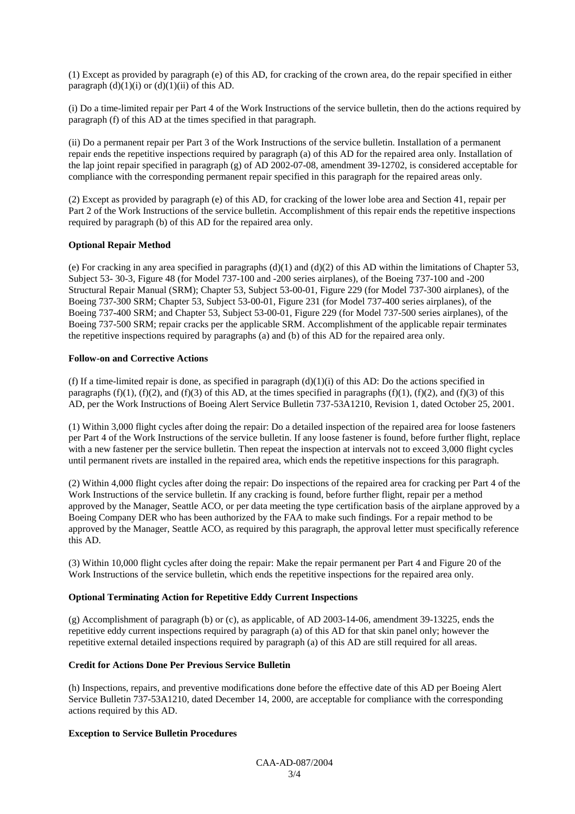(1) Except as provided by paragraph (e) of this AD, for cracking of the crown area, do the repair specified in either paragraph  $(d)(1)(i)$  or  $(d)(1)(ii)$  of this AD.

(i) Do a time-limited repair per Part 4 of the Work Instructions of the service bulletin, then do the actions required by paragraph (f) of this AD at the times specified in that paragraph.

(ii) Do a permanent repair per Part 3 of the Work Instructions of the service bulletin. Installation of a permanent repair ends the repetitive inspections required by paragraph (a) of this AD for the repaired area only. Installation of the lap joint repair specified in paragraph (g) of AD 2002-07-08, amendment 39-12702, is considered acceptable for compliance with the corresponding permanent repair specified in this paragraph for the repaired areas only.

(2) Except as provided by paragraph (e) of this AD, for cracking of the lower lobe area and Section 41, repair per Part 2 of the Work Instructions of the service bulletin. Accomplishment of this repair ends the repetitive inspections required by paragraph (b) of this AD for the repaired area only.

#### **Optional Repair Method**

(e) For cracking in any area specified in paragraphs  $(d)(1)$  and  $(d)(2)$  of this AD within the limitations of Chapter 53, Subject 53- 30-3, Figure 48 (for Model 737-100 and -200 series airplanes), of the Boeing 737-100 and -200 Structural Repair Manual (SRM); Chapter 53, Subject 53-00-01, Figure 229 (for Model 737-300 airplanes), of the Boeing 737-300 SRM; Chapter 53, Subject 53-00-01, Figure 231 (for Model 737-400 series airplanes), of the Boeing 737-400 SRM; and Chapter 53, Subject 53-00-01, Figure 229 (for Model 737-500 series airplanes), of the Boeing 737-500 SRM; repair cracks per the applicable SRM. Accomplishment of the applicable repair terminates the repetitive inspections required by paragraphs (a) and (b) of this AD for the repaired area only.

#### **Follow-on and Corrective Actions**

(f) If a time-limited repair is done, as specified in paragraph  $(d)(1)(i)$  of this AD: Do the actions specified in paragraphs  $(f)(1)$ ,  $(f)(2)$ , and  $(f)(3)$  of this AD, at the times specified in paragraphs  $(f)(1)$ ,  $(f)(2)$ , and  $(f)(3)$  of this AD, per the Work Instructions of Boeing Alert Service Bulletin 737-53A1210, Revision 1, dated October 25, 2001.

(1) Within 3,000 flight cycles after doing the repair: Do a detailed inspection of the repaired area for loose fasteners per Part 4 of the Work Instructions of the service bulletin. If any loose fastener is found, before further flight, replace with a new fastener per the service bulletin. Then repeat the inspection at intervals not to exceed 3,000 flight cycles until permanent rivets are installed in the repaired area, which ends the repetitive inspections for this paragraph.

(2) Within 4,000 flight cycles after doing the repair: Do inspections of the repaired area for cracking per Part 4 of the Work Instructions of the service bulletin. If any cracking is found, before further flight, repair per a method approved by the Manager, Seattle ACO, or per data meeting the type certification basis of the airplane approved by a Boeing Company DER who has been authorized by the FAA to make such findings. For a repair method to be approved by the Manager, Seattle ACO, as required by this paragraph, the approval letter must specifically reference this AD.

(3) Within 10,000 flight cycles after doing the repair: Make the repair permanent per Part 4 and Figure 20 of the Work Instructions of the service bulletin, which ends the repetitive inspections for the repaired area only.

#### **Optional Terminating Action for Repetitive Eddy Current Inspections**

(g) Accomplishment of paragraph (b) or (c), as applicable, of AD 2003-14-06, amendment 39-13225, ends the repetitive eddy current inspections required by paragraph (a) of this AD for that skin panel only; however the repetitive external detailed inspections required by paragraph (a) of this AD are still required for all areas.

#### **Credit for Actions Done Per Previous Service Bulletin**

(h) Inspections, repairs, and preventive modifications done before the effective date of this AD per Boeing Alert Service Bulletin 737-53A1210, dated December 14, 2000, are acceptable for compliance with the corresponding actions required by this AD.

### **Exception to Service Bulletin Procedures**